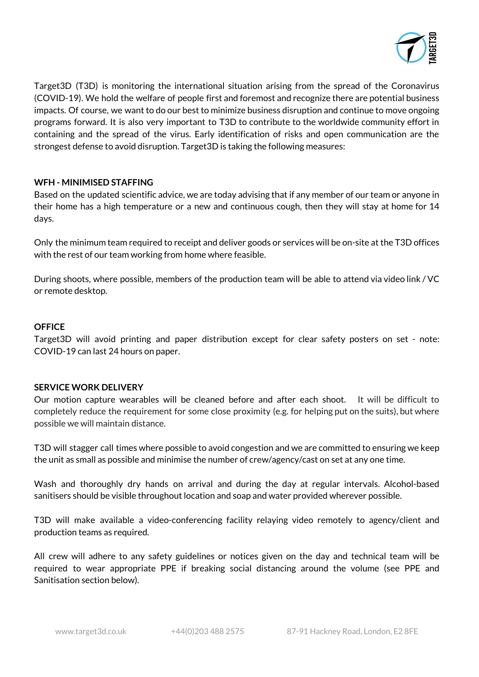

Target3D (T3D) is monitoring the international situation arising from the spread of the Coronavirus (COVID-19). We hold the welfare of people first and foremost and recognize there are potential business impacts. Of course, we want to do our best to minimize business disruption and continue to move ongoing programs forward. It is also very important to T3D to contribute to the worldwide community effort in containing and the spread of the virus. Early identification of risks and open communication are the strongest defense to avoid disruption. Target3D is taking the following measures:

### **WFH - MINIMISED STAFFING**

Based on the updated scientific advice, we are today advising that if any member of our team or anyone in their home has a high temperature or a new and continuous cough, then they will stay at home for 14 days.

Only the minimum team required to receipt and deliver goods or services will be on-site at the T3D offices with the rest of our team working from home where feasible.

During shoots, where possible, members of the production team will be able to attend via video link / VC or remote desktop.

### **OFFICE**

Target3D will avoid printing and paper distribution except for clear safety posters on set - note: COVID-19 can last 24 hours on paper.

### **SERVICE WORK DELIVERY**

Our motion capture wearables will be cleaned before and after each shoot. It will be difficult to completely reduce the requirement for some close proximity (e.g. for helping put on the suits), but where possible we will maintain distance.

T3D will stagger call times where possible to avoid congestion and we are committed to ensuring we keep the unit as small as possible and minimise the number of crew/agency/cast on set at any one time.

Wash and thoroughly dry hands on arrival and during the day at regular intervals. Alcohol-based sanitisers should be visible throughout location and soap and water provided wherever possible.

T3D will make available a video-conferencing facility relaying video remotely to agency/client and production teams as required.

All crew will adhere to any safety guidelines or notices given on the day and technical team will be required to wear appropriate PPE if breaking social distancing around the volume (see PPE and Sanitisation section below).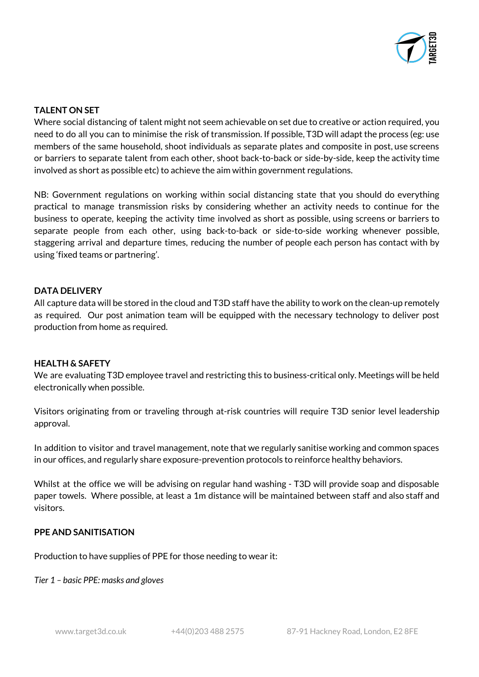

# **TALENT ON SET**

Where social distancing of talent might not seem achievable on set due to creative or action required, you need to do all you can to minimise the risk of transmission. If possible, T3D will adapt the process (eg: use members of the same household, shoot individuals as separate plates and composite in post, use screens or barriers to separate talent from each other, shoot back-to-back or side-by-side, keep the activity time involved as short as possible etc) to achieve the aim within government regulations.

NB: Government regulations on working within social distancing state that you should do everything practical to manage transmission risks by considering whether an activity needs to continue for the business to operate, keeping the activity time involved as short as possible, using screens or barriers to separate people from each other, using back-to-back or side-to-side working whenever possible, staggering arrival and departure times, reducing the number of people each person has contact with by using 'fixed teams or partnering'.

## **DATA DELIVERY**

All capture data will be stored in the cloud and T3D staff have the ability to work on the clean-up remotely as required. Our post animation team will be equipped with the necessary technology to deliver post production from home as required.

### **HEALTH & SAFETY**

We are evaluating T3D employee travel and restricting this to business-critical only. Meetings will be held electronically when possible.

Visitors originating from or traveling through at-risk countries will require T3D senior level leadership approval.

In addition to visitor and travel management, note that we regularly sanitise working and common spaces in our offices, and regularly share exposure-prevention protocols to reinforce healthy behaviors.

Whilst at the office we will be advising on regular hand washing - T3D will provide soap and disposable paper towels. Where possible, at least a 1m distance will be maintained between staff and also staff and visitors.

## **PPE AND SANITISATION**

Production to have supplies of PPE for those needing to wear it:

*Tier 1 – basic PPE: masks and gloves*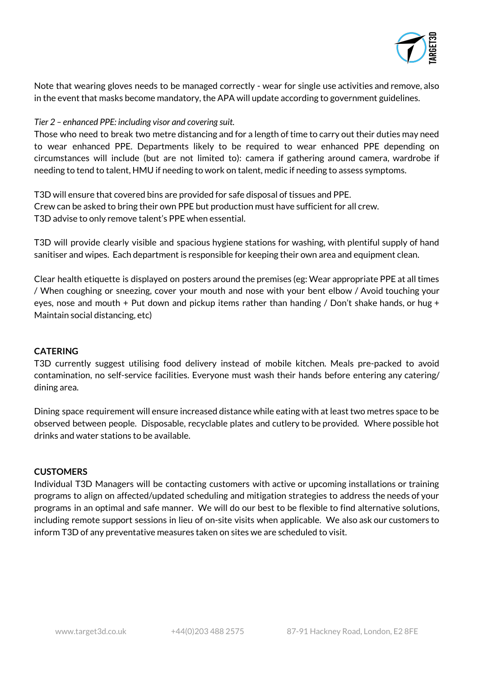

Note that wearing gloves needs to be managed correctly - wear for single use activities and remove, also in the event that masks become mandatory, the APA will update according to government guidelines.

### *Tier 2 – enhanced PPE: including visor and covering suit.*

Those who need to break two metre distancing and for a length of time to carry out their duties may need to wear enhanced PPE. Departments likely to be required to wear enhanced PPE depending on circumstances will include (but are not limited to): camera if gathering around camera, wardrobe if needing to tend to talent, HMU if needing to work on talent, medic if needing to assess symptoms.

T3D will ensure that covered bins are provided for safe disposal of tissues and PPE. Crew can be asked to bring their own PPE but production must have sufficient for all crew. T3D advise to only remove talent's PPE when essential.

T3D will provide clearly visible and spacious hygiene stations for washing, with plentiful supply of hand sanitiser and wipes. Each department is responsible for keeping their own area and equipment clean.

Clear health etiquette is displayed on posters around the premises (eg: Wear appropriate PPE at all times / When coughing or sneezing, cover your mouth and nose with your bent elbow / Avoid touching your eyes, nose and mouth + Put down and pickup items rather than handing / Don't shake hands, or hug + Maintain social distancing, etc)

## **CATERING**

T3D currently suggest utilising food delivery instead of mobile kitchen. Meals pre-packed to avoid contamination, no self-service facilities. Everyone must wash their hands before entering any catering/ dining area.

Dining space requirement will ensure increased distance while eating with at least two metres space to be observed between people. Disposable, recyclable plates and cutlery to be provided. Where possible hot drinks and water stations to be available.

### **CUSTOMERS**

Individual T3D Managers will be contacting customers with active or upcoming installations or training programs to align on affected/updated scheduling and mitigation strategies to address the needs of your programs in an optimal and safe manner. We will do our best to be flexible to find alternative solutions, including remote support sessions in lieu of on-site visits when applicable. We also ask our customers to inform T3D of any preventative measures taken on sites we are scheduled to visit.